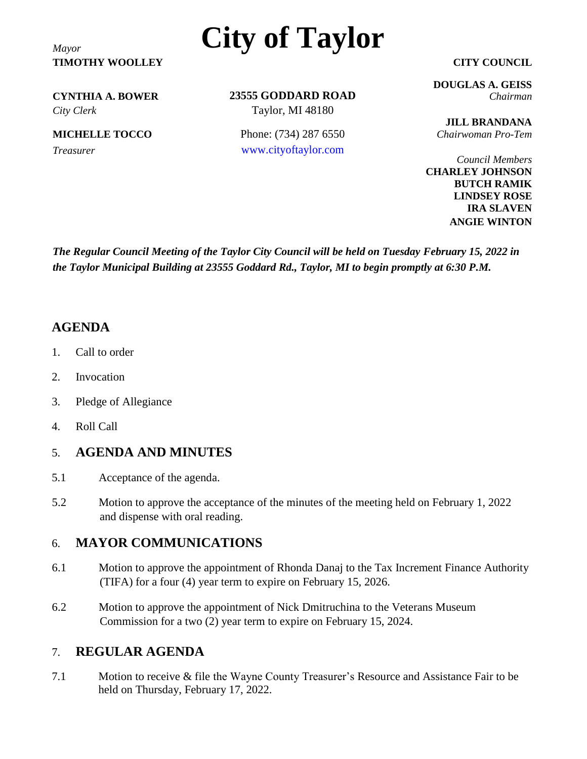**TIMOTHY WOOLLEY CITY COUNCIL**

# *Mayor* **City of Taylor**

*City Clerk* Taylor, MI 48180

**23555 GODDARD ROAD CYNTHIA A. BOWER** *Chairman*

**MICHELLE TOCCO** Phone: (734) 287 6550 *Chairwoman Pro-Tem Treasurer* [www.cityoftaylor.com](http://www.cityoftaylor.com/)

**DOUGLAS A. GEISS**

**JILL BRANDANA**

*Council Members* **CHARLEY JOHNSON BUTCH RAMIK LINDSEY ROSE IRA SLAVEN ANGIE WINTON**

*The Regular Council Meeting of the Taylor City Council will be held on Tuesday February 15, 2022 in the Taylor Municipal Building at 23555 Goddard Rd., Taylor, MI to begin promptly at 6:30 P.M.*

## **AGENDA**

- 1. Call to order
- 2. Invocation
- 3. Pledge of Allegiance
- 4. Roll Call

## 5. **AGENDA AND MINUTES**

- 5.1 Acceptance of the agenda.
- 5.2 Motion to approve the acceptance of the minutes of the meeting held on February 1, 2022 and dispense with oral reading.

### 6. **MAYOR COMMUNICATIONS**

- 6.1 Motion to approve the appointment of Rhonda Danaj to the Tax Increment Finance Authority (TIFA) for a four (4) year term to expire on February 15, 2026.
- 6.2 Motion to approve the appointment of Nick Dmitruchina to the Veterans Museum Commission for a two (2) year term to expire on February 15, 2024.

### 7. **REGULAR AGENDA**

7.1 Motion to receive & file the Wayne County Treasurer's Resource and Assistance Fair to be held on Thursday, February 17, 2022.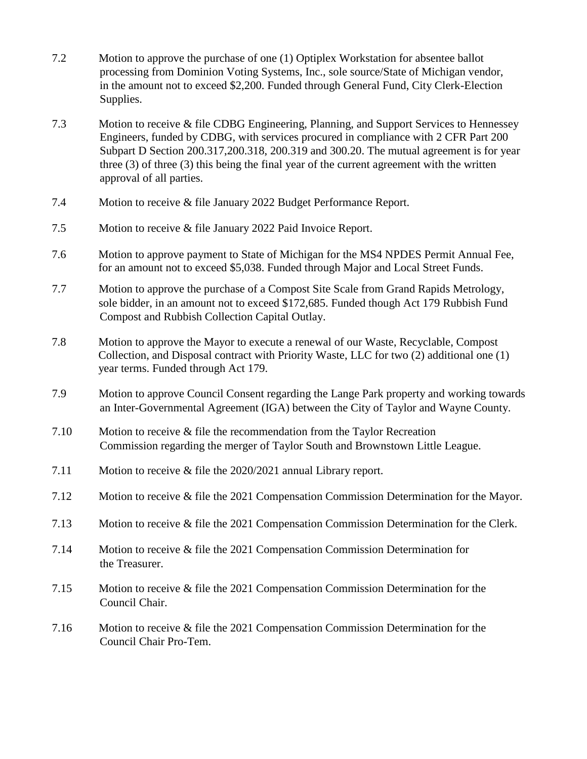- 7.2 Motion to approve the purchase of one (1) Optiplex Workstation for absentee ballot processing from Dominion Voting Systems, Inc., sole source/State of Michigan vendor, in the amount not to exceed \$2,200. Funded through General Fund, City Clerk-Election Supplies.
- 7.3 Motion to receive & file CDBG Engineering, Planning, and Support Services to Hennessey Engineers, funded by CDBG, with services procured in compliance with 2 CFR Part 200 Subpart D Section 200.317,200.318, 200.319 and 300.20. The mutual agreement is for year three (3) of three (3) this being the final year of the current agreement with the written approval of all parties.
- 7.4 Motion to receive & file January 2022 Budget Performance Report.
- 7.5 Motion to receive & file January 2022 Paid Invoice Report.
- 7.6 Motion to approve payment to State of Michigan for the MS4 NPDES Permit Annual Fee, for an amount not to exceed \$5,038. Funded through Major and Local Street Funds.
- 7.7 Motion to approve the purchase of a Compost Site Scale from Grand Rapids Metrology, sole bidder, in an amount not to exceed \$172,685. Funded though Act 179 Rubbish Fund Compost and Rubbish Collection Capital Outlay.
- 7.8 Motion to approve the Mayor to execute a renewal of our Waste, Recyclable, Compost Collection, and Disposal contract with Priority Waste, LLC for two (2) additional one (1) year terms. Funded through Act 179.
- 7.9 Motion to approve Council Consent regarding the Lange Park property and working towards an Inter-Governmental Agreement (IGA) between the City of Taylor and Wayne County.
- 7.10 Motion to receive & file the recommendation from the Taylor Recreation Commission regarding the merger of Taylor South and Brownstown Little League.
- 7.11 Motion to receive & file the 2020/2021 annual Library report.
- 7.12 Motion to receive & file the 2021 Compensation Commission Determination for the Mayor.
- 7.13 Motion to receive & file the 2021 Compensation Commission Determination for the Clerk.
- 7.14 Motion to receive & file the 2021 Compensation Commission Determination for the Treasurer.
- 7.15 Motion to receive & file the 2021 Compensation Commission Determination for the Council Chair.
- 7.16 Motion to receive & file the 2021 Compensation Commission Determination for the Council Chair Pro-Tem.